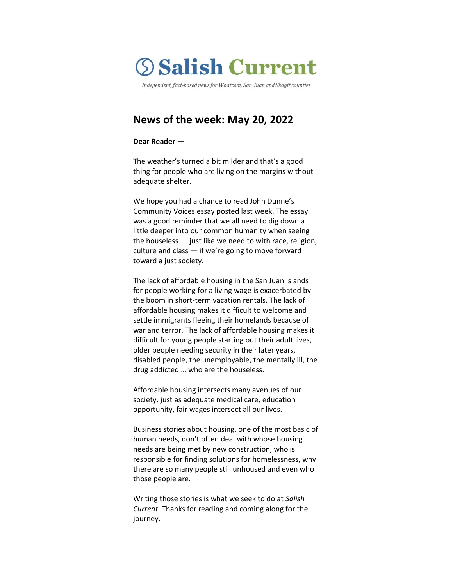

Independent, fact-based news for Whatcom, San Juan and Skagit counties

# **News of the week: May 20, 2022**

#### **Dear Reader —**

The weather's turned a bit milder and that's a good thing for people who are living on the margins without adequate shelter.

We hope you had a chance to read John Dunne's Community Voices essay posted last week. The essay was a good reminder that we all need to dig down a little deeper into our common humanity when seeing the houseless — just like we need to with race, religion, culture and class — if we're going to move forward toward a just society.

The lack of affordable housing in the San Juan Islands for people working for a living wage is exacerbated by the boom in short-term vacation rentals. The lack of affordable housing makes it difficult to welcome and settle immigrants fleeing their homelands because of war and terror. The lack of affordable housing makes it difficult for young people starting out their adult lives, older people needing security in their later years, disabled people, the unemployable, the mentally ill, the drug addicted … who are the houseless.

Affordable housing intersects many avenues of our society, just as adequate medical care, education opportunity, fair wages intersect all our lives.

Business stories about housing, one of the most basic of human needs, don't often deal with whose housing needs are being met by new construction, who is responsible for finding solutions for homelessness, why there are so many people still unhoused and even who those people are.

Writing those stories is what we seek to do at *Salish Current.* Thanks for reading and coming along for the journey.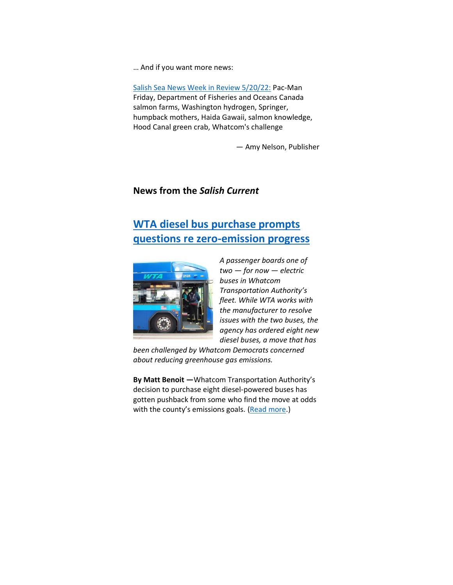… And if you want more news:

[Salish Sea News Week in Review 5/20/22:](https://bit.ly/3LzhVbD) Pac-Man Friday, Department of Fisheries and Oceans Canada salmon farms, Washington hydrogen, Springer, humpback mothers, Haida Gawaii, salmon knowledge, Hood Canal green crab, Whatcom's challenge

— Amy Nelson, Publisher

## **News from the** *Salish Current*

# **[WTA diesel bus purchase prompts](https://salish-current.org/2022/05/19/wta-diesel-bus-purchase-prompts-questions-re-zero-emission-progress/)  [questions re zero-emission progress](https://salish-current.org/2022/05/19/wta-diesel-bus-purchase-prompts-questions-re-zero-emission-progress/)**



*A passenger boards one of two — for now — electric buses in Whatcom Transportation Authority's fleet. While WTA works with the manufacturer to resolve issues with the two buses, the agency has ordered eight new diesel buses, a move that has* 

*been challenged by Whatcom Democrats concerned about reducing greenhouse gas emissions.*

**By Matt Benoit —**Whatcom Transportation Authority's decision to purchase eight diesel-powered buses has gotten pushback from some who find the move at odds with the county's emissions goals. [\(Read more.](https://salish-current.org/2022/05/19/wta-diesel-bus-purchase-prompts-questions-re-zero-emission-progress/))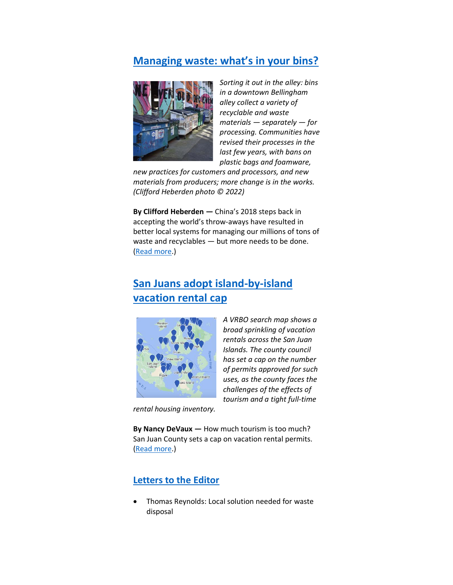# **[Managing waste: what's in your bins?](https://salish-current.org/2022/05/18/managing-waste-whats-in-your-bins/)**



*Sorting it out in the alley: bins in a downtown Bellingham alley collect a variety of recyclable and waste materials — separately — for processing. Communities have revised their processes in the last few years, with bans on plastic bags and foamware,* 

*new practices for customers and processors, and new materials from producers; more change is in the works. (Clifford Heberden photo © 2022)*

**By Clifford Heberden —** China's 2018 steps back in accepting the world's throw-aways have resulted in better local systems for managing our millions of tons of waste and recyclables — but more needs to be done. [\(Read more.](https://salish-current.org/2022/05/18/managing-waste-whats-in-your-bins/))

# **[San Juans adopt island-by-island](https://salish-current.org/2022/05/12/managing-paradise-san-juan-eyes-vacation-rental-cap/)  [vacation rental](https://salish-current.org/2022/05/12/managing-paradise-san-juan-eyes-vacation-rental-cap/) cap**



*A VRBO search map shows a broad sprinkling of vacation rentals across the San Juan Islands. The county council has set a cap on the number of permits approved for such uses, as the county faces the challenges of the effects of tourism and a tight full-time* 

*rental housing inventory.*

**By Nancy DeVaux —** How much tourism is too much? San Juan County sets a cap on vacation rental permits. [\(Read more.](https://salish-current.org/2022/05/12/managing-paradise-san-juan-eyes-vacation-rental-cap/))

# **[Letters to the Editor](https://salish-current.org/letters-to-the-editor/)**

• Thomas Reynolds: Local solution needed for waste disposal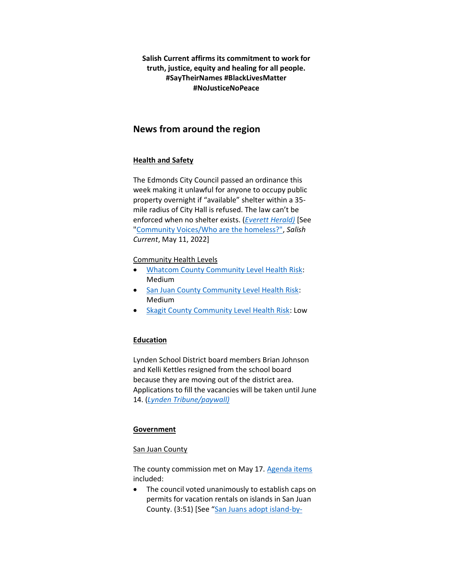**Salish Current affirms its commitment to work for truth, justice, equity and healing for all people. #SayTheirNames #BlackLivesMatter #NoJusticeNoPeace**

# **News from around the region**

## **Health and Safety**

The Edmonds City Council passed an ordinance this week making it unlawful for anyone to occupy public property overnight if "available" shelter within a 35 mile radius of City Hall is refused. The law can't be enforced when no shelter exists. (*[Everett Herald\)](https://www.heraldnet.com/news/after-long-debate-edmonds-bans-homeless-people-from-living-outside/)* [See ["Community Voices/Who are the homeless?",](https://salish-current.org/2022/05/11/who-are-the-homeless/) *Salish Current*, May 11, 2022]

## Community Health Levels

- [Whatcom County Community Level Health Risk:](https://covidactnow.org/us/washington-wa/county/whatcom_county/?s=32682088) Medium
- [San Juan County Community Level Health Risk:](https://covidactnow.org/us/washington-wa/county/san_juan_county/?s=32682088) Medium
- [Skagit County Community Level Health Risk:](https://covidactnow.org/us/washington-wa/county/skagit_county/?s=32682088) Low

## **Education**

Lynden School District board members Brian Johnson and Kelli Kettles resigned from the school board because they are moving out of the district area. Applications to fill the vacancies will be taken until June 14. (*[Lynden Tribune/paywall\)](https://www.lyndentribune.com/news/johnson-kettels-resign-from-lynden-school-board/article_76d36a1c-d6b0-11ec-9d64-bf9ea89a2c05.html)*

## **Government**

#### San Juan County

The county commission met on May 17. [Agenda items](https://media.avcaptureall.cloud/meeting/546054e6-aaf5-4c7a-b91e-d93f96fb4a2a) included:

• The council voted unanimously to establish caps on permits for vacation rentals on islands in San Juan County. (3:51) [See "[San Juans adopt island-by-](https://salish-current.org/2022/05/12/managing-paradise-san-juan-eyes-vacation-rental-cap/)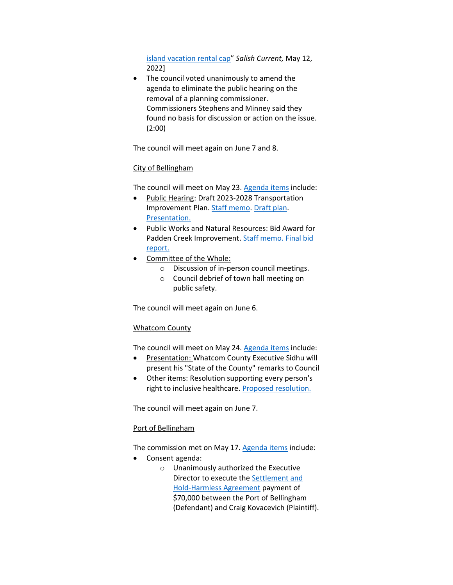[island vacation rental cap](https://salish-current.org/2022/05/12/managing-paradise-san-juan-eyes-vacation-rental-cap/)" *Salish Current,* May 12, 2022]

• The council voted unanimously to amend the agenda to eliminate the public hearing on the removal of a planning commissioner. Commissioners Stephens and Minney said they found no basis for discussion or action on the issue. (2:00)

The council will meet again on June 7 and 8.

### City of Bellingham

The council will meet on May 23. [Agenda items](https://meetings.cob.org/Meetings/ViewMeeting?id=2684&doctype=1) include:

- Public Hearing: Draft 2023-2028 Transportation Improvement Plan. [Staff memo.](https://meetings.cob.org/Documents/ViewDocument/Staff%20Memo%20for%20AB%2023349.pdf?meetingId=2684&documentType=Agenda&itemId=24469&publishId=25772&isSection=false) [Draft plan.](https://meetings.cob.org/Documents/ViewDocument/Attachment%20-%20DRAFT%20SIX-YEAR%20(2023-2028)%20TRANSPORTATION%20IMPROVEMENT%20PROGRAM%20(TIP)%20-.pdf?meetingId=2684&documentType=Agenda&itemId=24469&publishId=25773&isSection=false) [Presentation.](https://meetings.cob.org/Documents/ViewDocument/Attachment%20-%20TIP%20PRESENTATION%20SLIDES%20-%20AB_%2023349.pdf?meetingId=2684&documentType=Agenda&itemId=24469&publishId=25774&isSection=false)
- Public Works and Natural Resources: Bid Award for Padden Creek Improvement. [Staff memo.](https://meetings.cob.org/Documents/ViewDocument/Staff%20Memo%20for%20AB%2023353.pdf?meetingId=2684&documentType=Agenda&itemId=24489&publishId=25784&isSection=false) [Final bid](https://meetings.cob.org/Documents/ViewDocument/Attachment%20-%20FINAL%20BID%20OPENING%20REPORT%20-%20AB_%2023353.pdf?meetingId=2684&documentType=Agenda&itemId=24489&publishId=25785&isSection=false)  [report.](https://meetings.cob.org/Documents/ViewDocument/Attachment%20-%20FINAL%20BID%20OPENING%20REPORT%20-%20AB_%2023353.pdf?meetingId=2684&documentType=Agenda&itemId=24489&publishId=25785&isSection=false)
- Committee of the Whole:
	- o Discussion of in-person council meetings.
	- o Council debrief of town hall meeting on public safety.

The council will meet again on June 6.

## Whatcom County

The council will meet on May 24. [Agenda items](https://whatcom.legistar.com/View.ashx?M=A&ID=899900&GUID=19AF2DEF-DC96-49F6-992D-39145F3B3688) include:

- Presentation: Whatcom County Executive Sidhu will present his "State of the County" remarks to Council
- Other items: Resolution supporting every person's right to inclusive healthcare[. Proposed resolution.](https://whatcom.legistar.com/View.ashx?M=F&ID=10901015&GUID=363179F3-EDD6-4CA0-9D1A-76C1E6954691)

The council will meet again on June 7.

#### Port of Bellingham

The commission met on May 17. [Agenda items](https://www.portofbellingham.com/AgendaCenter/ViewFile/Agenda/_05172022-515) include:

- Consent agenda:
	- o Unanimously authorized the Executive Director to execute th[e Settlement and](https://www.portofbellingham.com/DocumentCenter/View/11535/B)  [Hold-Harmless Agreement](https://www.portofbellingham.com/DocumentCenter/View/11535/B) payment of \$70,000 between the Port of Bellingham (Defendant) and Craig Kovacevich (Plaintiff).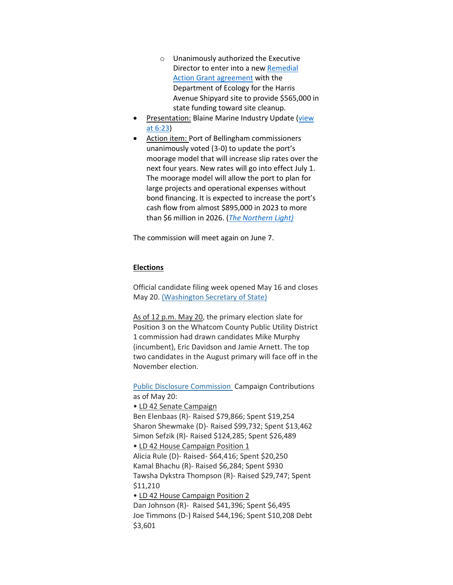- o Unanimously authorized the Executive Director to enter into a new [Remedial](https://www.portofbellingham.com/DocumentCenter/View/11530/E)  [Action Grant agreement](https://www.portofbellingham.com/DocumentCenter/View/11530/E) with the Department of Ecology for the Harris Avenue Shipyard site to provide \$565,000 in state funding toward site cleanup.
- Presentation: Blaine Marine Industry Update (view [at 6:23\)](https://www.youtube.com/watch?v=qK8xC1tA1eg&t=334s)
- Action item: Port of Bellingham commissioners unanimously voted (3-0) to update the port's moorage model that will increase slip rates over the next four years. New rates will go into effect July 1. The moorage model will allow the port to plan for large projects and operational expenses without bond financing. It is expected to increase the port's cash flow from almost \$895,000 in 2023 to more than \$6 million in 2026. (*[The Northern Light\)](https://www.thenorthernlight.com/stories/port-commissioners-vote-on-moorage-model,20013?)*

The commission will meet again on June 7.

### **Elections**

Official candidate filing week opened May 16 and closes May 20. [\(Washington Secretary of State\)](https://www.sos.wa.gov/elections/candidates/candidate-filing-faq.aspx)

As of 12 p.m. May 20, the primary election slate for Position 3 on the Whatcom County Public Utility District 1 commission had drawn candidates Mike Murphy (incumbent), Eric Davidson and Jamie Arnett. The top two candidates in the August primary will face off in the November election.

**[Public Disclosure Commission](https://www.pdc.wa.gov/political-disclosure-reporting-data/browse-search-data/candidates) Campaign Contributions** as of May 20:

• LD 42 Senate Campaign Ben Elenbaas (R)- Raised \$79,866; Spent \$19,254 Sharon Shewmake (D)- Raised \$99,732; Spent \$13,462 Simon Sefzik (R)- Raised \$124,285; Spent \$26,489 • LD 42 House Campaign Position 1 Alicia Rule (D)- Raised- \$64,416; Spent \$20,250 Kamal Bhachu (R)- Raised \$6,284; Spent \$930 Tawsha Dykstra Thompson (R)- Raised \$29,747; Spent \$11,210 • LD 42 House Campaign Position 2 Dan Johnson (R)- Raised \$41,396; Spent \$6,495 Joe Timmons (D-) Raised \$44,196; Spent \$10,208 Debt \$3,601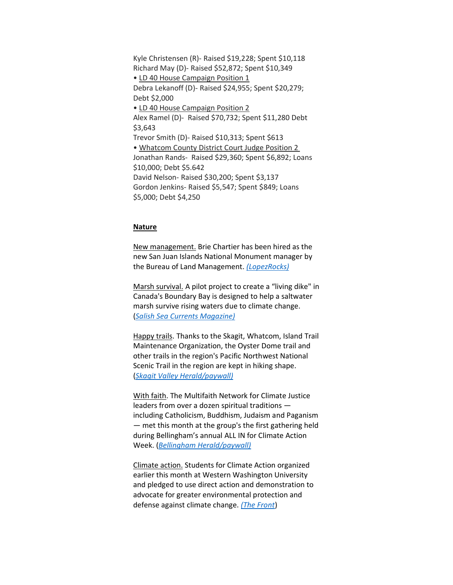Kyle Christensen (R)- Raised \$19,228; Spent \$10,118 Richard May (D)- Raised \$52,872; Spent \$10,349 • LD 40 House Campaign Position 1 Debra Lekanoff (D)- Raised \$24,955; Spent \$20,279; Debt \$2,000 • LD 40 House Campaign Position 2 Alex Ramel (D)- Raised \$70,732; Spent \$11,280 Debt \$3,643 Trevor Smith (D)- Raised \$10,313; Spent \$613 • Whatcom County District Court Judge Position 2 Jonathan Rands- Raised \$29,360; Spent \$6,892; Loans \$10,000; Debt \$5.642 David Nelson- Raised \$30,200; Spent \$3,137 Gordon Jenkins- Raised \$5,547; Spent \$849; Loans \$5,000; Debt \$4,250

#### **Nature**

New management. Brie Chartier has been hired as the new San Juan Islands National Monument manager by the Bureau of Land Management. *[\(LopezRocks\)](https://www.lopezrocks.org/page.php?type=item&return=newsletter&newsletter=2022-05-16&menu_type=news&item_handle=1652723437)*

Marsh survival. A pilot project to create a "living dike" in Canada's Boundary Bay is designed to help a saltwater marsh survive rising waters due to climate change. (*[Salish Sea Currents Magazine\)](https://www.eopugetsound.org/magazine/living-dike-shoreline-protection)*

Happy trails. Thanks to the Skagit, Whatcom, Island Trail Maintenance Organization, the Oyster Dome trail and other trails in the region's Pacific Northwest National Scenic Trail in the region are kept in hiking shape. (*[Skagit Valley Herald/paywall\)](https://www.goskagit.com/news/environment/local-trail-maintenance-group-hard-at-work-keeping-trail-in-good-shape/article_08b2d4e8-4575-5f24-a099-89859d8e8a4c.html)*

With faith. The Multifaith Network for Climate Justice leaders from over a dozen spiritual traditions including Catholicism, Buddhism, Judaism and Paganism — met this month at the group's the first gathering held during Bellingham's annual ALL IN for Climate Action Week. (*[Bellingham Herald/paywall\)](https://www.bellinghamherald.com/news/local/article261267347.html)*

Climate action. Students for Climate Action organized earlier this month at Western Washington University and pledged to use direct action and demonstration to advocate for greater environmental protection and defense against climate change. *[\(The Front](https://www.westernfrontonline.com/article/2022/05/students-for-climate-action-pledges-local-grassroots-activism)*)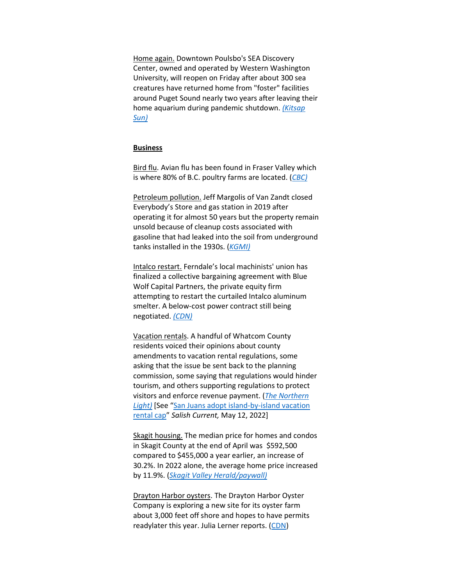Home again. Downtown Poulsbo's SEA Discovery Center, owned and operated by Western Washington University, will reopen on Friday after about 300 sea creatures have returned home from "foster" facilities around Puget Sound nearly two years after leaving their home aquarium during pandemic shutdown. *[\(Kitsap](https://www.kitsapsun.com/story/news/2022/05/19/sea-creatures-back-poulsbos-sea-discovery-center-after-2-year-closure/9632956002/)  [Sun\)](https://www.kitsapsun.com/story/news/2022/05/19/sea-creatures-back-poulsbos-sea-discovery-center-after-2-year-closure/9632956002/)*

#### **Business**

Bird flu. Avian flu has been found in Fraser Valley which is where 80% of B.C. poultry farms are located. (*[CBC\)](https://www.cbc.ca/news/canada/british-columbia/avian-flu-abbotsford-poultry-1.6460202)*

Petroleum pollution. Jeff Margolis of Van Zandt closed Everybody's Store and gas station in 2019 after operating it for almost 50 years but the property remain unsold because of cleanup costs associated with gasoline that had leaked into the soil from underground tanks installed in the 1930s. (*[KGMI\)](https://kgmi.com/news/007700-owners-of-local-gas-station-facing-massive-clean-up-bill/)*

Intalco restart. Ferndale's local machinists' union has finalized a collective bargaining agreement with Blue Wolf Capital Partners, the private equity firm attempting to restart the curtailed Intalco aluminum smelter. A below-cost power contract still being negotiated. *[\(CDN\)](https://www.cascadiadaily.com/news/2022/may/19/union-cements-contract-with-blue-wolf-for-potential-smelter-restart/)*

Vacation rentals. A handful of Whatcom County residents voiced their opinions about county amendments to vacation rental regulations, some asking that the issue be sent back to the planning commission, some saying that regulations would hinder tourism, and others supporting regulations to protect visitors and enforce revenue payment. (*[The Northern](https://www.thenorthernlight.com/stories/vacation-rental-hosts-ask-countyto-review-possible-regulation,20014?)*  **[Light\)](https://www.thenorthernlight.com/stories/vacation-rental-hosts-ask-countyto-review-possible-regulation,20014?)** [See "San Juans adopt island-by-island vacation [rental cap](https://salish-current.org/2022/05/12/managing-paradise-san-juan-eyes-vacation-rental-cap/)" *Salish Current,* May 12, 2022]

Skagit housing. The median price for homes and condos in Skagit County at the end of April was \$592,500 compared to \$455,000 a year earlier, an increase of 30.2%. In 2022 alone, the average home price increased by 11.9%. (*[Skagit Valley Herald/paywall\)](https://www.goskagit.com/news/local_news/skagit-county-home-prices-skyrocket/article_e8363b2f-769a-5786-bf45-d94c26f5d616.html)*

Drayton Harbor oysters. The Drayton Harbor Oyster Company is exploring a new site for its oyster farm about 3,000 feet off shore and hopes to have permits readylater this year. Julia Lerner reports. [\(CDN\)](https://www.cascadiadaily.com/news/2022/may/20/local-oyster-company-exploring-new-farms-in-drayton-harbor/)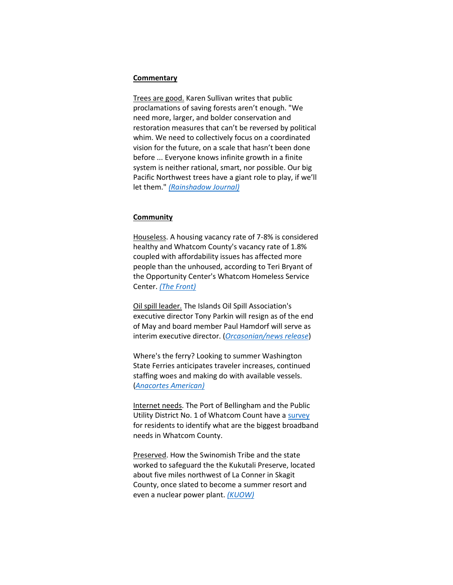#### **Commentary**

Trees are good. Karen Sullivan writes that public proclamations of saving forests aren't enough. "We need more, larger, and bolder conservation and restoration measures that can't be reversed by political whim. We need to collectively focus on a coordinated vision for the future, on a scale that hasn't been done before ... Everyone knows infinite growth in a finite system is neither rational, smart, nor possible. Our big Pacific Northwest trees have a giant role to play, if we'll let them." *[\(Rainshadow Journal\)](https://rainshadownorthwest.com/2022/05/18/when-i-speak-for-the-trees-means-the-climate-too/)*

#### **Community**

Houseless. A housing vacancy rate of 7-8% is considered healthy and Whatcom County's vacancy rate of 1.8% coupled with affordability issues has affected more people than the unhoused, according to Teri Bryant of the Opportunity Center's Whatcom Homeless Service Center. *[\(The Front\)](https://www.westernfrontonline.com/article/2022/05/number-of-whatcom-county-families-waiting-for-housing-has-more-than-tripled-since-2019)*

Oil spill leader. The Islands Oil Spill Association's executive director Tony Parkin will resign as of the end of May and board member Paul Hamdorf will serve as interim executive director. (*[Orcasonian/news release](https://theorcasonian.com/change-of-leadership-at-islands-oil-spill-association-iosa/)*)

Where's the ferry? Looking to summer Washington State Ferries anticipates traveler increases, continued staffing woes and making do with available vessels. (*[Anacortes American\)](https://www.goskagit.com/anacortes/news/washington-state-ferries-system-prepares-to-meet-challenges-of-peak-summer-season/article_5a0d0b7c-d633-11ec-9dc3-f367a810a89a.html)*

Internet needs. The Port of Bellingham and the Public Utility District No. 1 of Whatcom Count have a [survey](https://docs.google.com/forms/d/e/1FAIpQLSf-PMAFwHpa9NiOxGBVIytEVPmmw17fIqyDXS5_Cq6u0eWWRA/viewform) for residents to identify what are the biggest broadband needs in Whatcom County.

Preserved. How the Swinomish Tribe and the state worked to safeguard the the Kukutali Preserve, located about five miles northwest of La Conner in Skagit County, once slated to become a summer resort and even a nuclear power plant. *[\(KUOW\)](https://kuow.org/stories/singular-partnership-opened-kukutali-preserve-to-all)*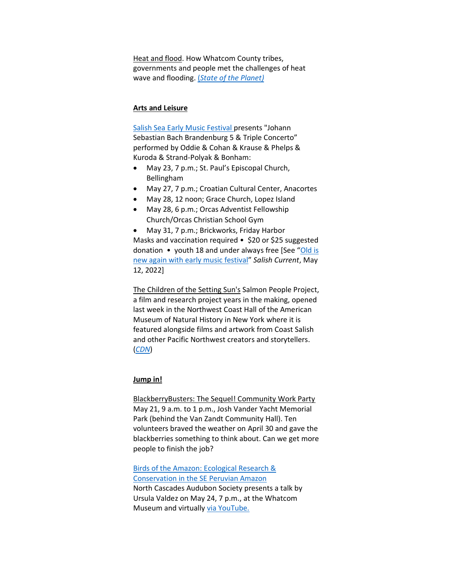Heat and flood. How Whatcom County tribes, governments and people met the challenges of heat wave and flooding. (*[State of the Planet\)](https://news.climate.columbia.edu/2022/05/19/when-national-policy-stalled-this-community-took-climate-action-into-its-own-hands/)*

#### **Arts and Leisure**

[Salish Sea Early Music Festival](http://salishseafestival.org/) presents "Johann Sebastian Bach Brandenburg 5 & Triple Concerto" performed by Oddie & Cohan & Krause & Phelps & Kuroda & Strand-Polyak & Bonham:

- May 23, 7 p.m.; St. Paul's Episcopal Church, Bellingham
- May 27, 7 p.m.; Croatian Cultural Center, Anacortes
- May 28, 12 noon; Grace Church, Lopez Island
- May 28, 6 p.m.; Orcas Adventist Fellowship Church/Orcas Christian School Gym

• May 31, 7 p.m.; Brickworks, Friday Harbor Masks and vaccination required • \$20 or \$25 suggested donation • youth 18 and under always free [See "[Old is](https://salish-current.org/2022/05/13/old-is-new-again-with-early-music-festival/)  [new again with early music festival](https://salish-current.org/2022/05/13/old-is-new-again-with-early-music-festival/)" *Salish Current*, May 12, 2022]

The Children of the Setting Sun's Salmon People Project, a film and research project years in the making, opened last week in the Northwest Coast Hall of the American Museum of Natural History in New York where it is featured alongside films and artwork from Coast Salish and other Pacific Northwest creators and storytellers. (*[CDN](https://www.cascadiadaily.com/news/2022/may/13/children-of-the-setting-sun-films-featured-in-museum-exhibit/)*)

#### **Jump in!**

BlackberryBusters: The Sequel! Community Work Party May 21, 9 a.m. to 1 p.m., Josh Vander Yacht Memorial Park (behind the Van Zandt Community Hall). Ten volunteers braved the weather on April 30 and gave the blackberries something to think about. Can we get more people to finish the job?

[Birds of the Amazon: Ecological Research &](https://www.northcascadesaudubon.org/events/2022/5/24/birds-of-the-amazon-ecological-research-amp-conservation-in-the-se-peruvian-amazonnbspnbsp-presented-by-dr-ursula-valdez)  [Conservation in the SE Peruvian Amazon](https://www.northcascadesaudubon.org/events/2022/5/24/birds-of-the-amazon-ecological-research-amp-conservation-in-the-se-peruvian-amazonnbspnbsp-presented-by-dr-ursula-valdez)  North Cascades Audubon Society presents a talk by Ursula Valdez on May 24, 7 p.m., at the Whatcom Museum and virtually [via YouTube.](https://www.youtube.com/watch?v=MBZR5odTuaE)